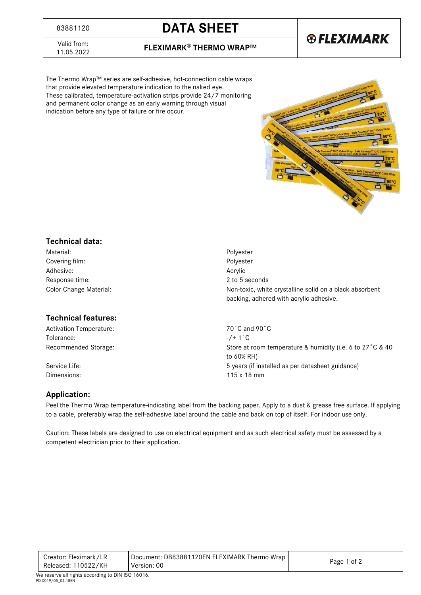# <sup>83881120</sup> **DATA SHEET**

## **®FLEXIMARK**

Valid from:<br>11.05.2022

11.05.2022 **FLEXIMARK**® **THERMO WRAP™**

The Thermo Wrap™ series are self-adhesive, hot-connection cable wraps that provide elevated temperature indication to the naked eye. These calibrated, temperature-activation strips provide 24/7 monitoring and permanent color change as an early warning through visual indication before any type of failure or fire occur.



#### **Technical data:**

Material: Polyester Covering film: Polyester Adhesive: Andrea Acrylic Adhesive: Response time: 2 to 5 seconds

#### **Technical features:**

Activation Temperature: The Contract of Canada 90°C and 90°C Tolerance:  $-/- 1^{\circ}C$ 

Color Change Material: Non-toxic, white crystalline solid on a black absorbent backing, adhered with acrylic adhesive.

Recommended Storage: Store at room temperature & humidity (i.e. 6 to 27°C & 40 to 60% RH) Service Life: 5 years (if installed as per datasheet guidance) 5 years (if installed as per datasheet guidance) Dimensions: 115 x 18 mm

#### **Application:**

Peel the Thermo Wrap temperature-indicating label from the backing paper. Apply to a dust & grease free surface. If applying to a cable, preferably wrap the self-adhesive label around the cable and back on top of itself. For indoor use only.

Caution: These labels are designed to use on electrical equipment and as such electrical safety must be assessed by a competent electrician prior to their application.

| Document: DB83881120EN FLEXIMARK Thermo Wrap<br>Creator: Fleximark/LR<br>Page 1 of 2<br>Released: 110522/KH<br>Version: 00 |  |
|----------------------------------------------------------------------------------------------------------------------------|--|
|----------------------------------------------------------------------------------------------------------------------------|--|